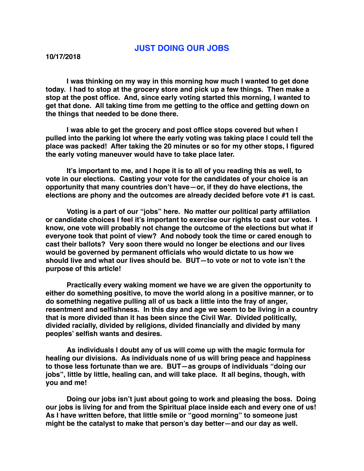## **JUST DOING OUR JOBS**

**I was thinking on my way in this morning how much I wanted to get done today. I had to stop at the grocery store and pick up a few things. Then make a stop at the post office. And, since early voting started this morning, I wanted to get that done. All taking time from me getting to the office and getting down on the things that needed to be done there.** 

**I was able to get the grocery and post office stops covered but when I pulled into the parking lot where the early voting was taking place I could tell the place was packed! After taking the 20 minutes or so for my other stops, I figured the early voting maneuver would have to take place later.** 

**It's important to me, and I hope it is to all of you reading this as well, to vote in our elections. Casting your vote for the candidates of your choice is an opportunity that many countries don't have—or, if they do have elections, the elections are phony and the outcomes are already decided before vote #1 is cast.** 

**Voting is a part of our "jobs" here. No matter our political party affiliation or candidate choices I feel it's important to exercise our rights to cast our votes. I know, one vote will probably not change the outcome of the elections but what if everyone took that point of view? And nobody took the time or cared enough to cast their ballots? Very soon there would no longer be elections and our lives would be governed by permanent officials who would dictate to us how we should live and what our lives should be. BUT—to vote or not to vote isn't the purpose of this article!**

**Practically every waking moment we have we are given the opportunity to either do something positive, to move the world along in a positive manner, or to do something negative pulling all of us back a little into the fray of anger, resentment and selfishness. In this day and age we seem to be living in a country that is more divided than it has been since the Civil War. Divided politically, divided racially, divided by religions, divided financially and divided by many peoples' selfish wants and desires.** 

**As individuals I doubt any of us will come up with the magic formula for healing our divisions. As individuals none of us will bring peace and happiness to those less fortunate than we are. BUT—as groups of individuals "doing our jobs", little by little, healing can, and will take place. It all begins, though, with you and me!**

**Doing our jobs isn't just about going to work and pleasing the boss. Doing our jobs is living for and from the Spiritual place inside each and every one of us! As I have written before, that little smile or "good morning" to someone just might be the catalyst to make that person's day better—and our day as well.**